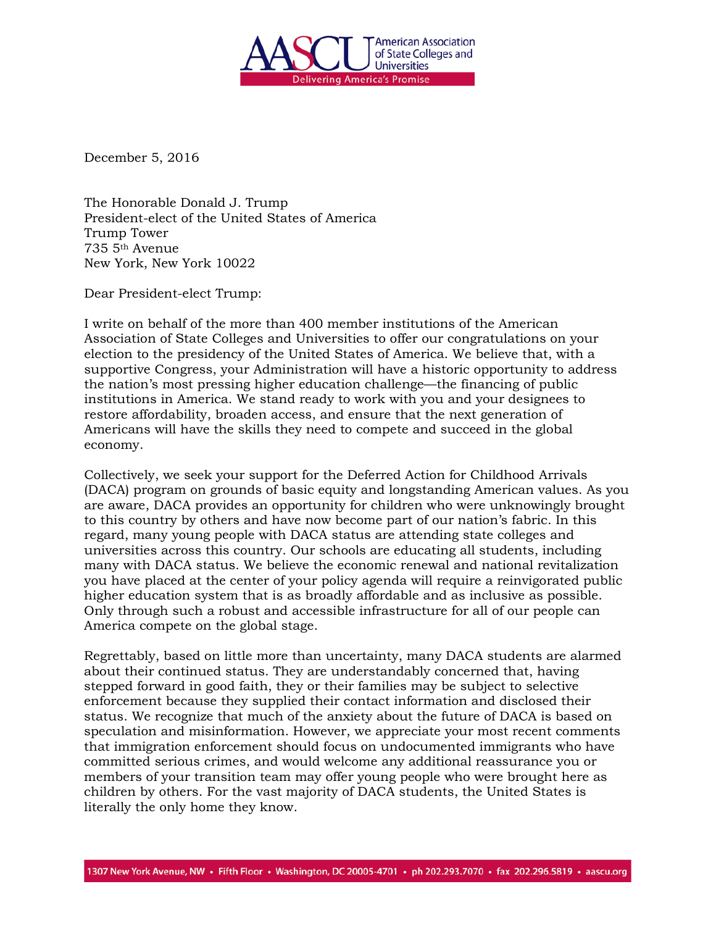

December 5, 2016

The Honorable Donald J. Trump President-elect of the United States of America Trump Tower 735 5th Avenue New York, New York 10022

Dear President-elect Trump:

I write on behalf of the more than 400 member institutions of the American Association of State Colleges and Universities to offer our congratulations on your election to the presidency of the United States of America. We believe that, with a supportive Congress, your Administration will have a historic opportunity to address the nation's most pressing higher education challenge—the financing of public institutions in America. We stand ready to work with you and your designees to restore affordability, broaden access, and ensure that the next generation of Americans will have the skills they need to compete and succeed in the global economy.

Collectively, we seek your support for the Deferred Action for Childhood Arrivals (DACA) program on grounds of basic equity and longstanding American values. As you are aware, DACA provides an opportunity for children who were unknowingly brought to this country by others and have now become part of our nation's fabric. In this regard, many young people with DACA status are attending state colleges and universities across this country. Our schools are educating all students, including many with DACA status. We believe the economic renewal and national revitalization you have placed at the center of your policy agenda will require a reinvigorated public higher education system that is as broadly affordable and as inclusive as possible. Only through such a robust and accessible infrastructure for all of our people can America compete on the global stage.

Regrettably, based on little more than uncertainty, many DACA students are alarmed about their continued status. They are understandably concerned that, having stepped forward in good faith, they or their families may be subject to selective enforcement because they supplied their contact information and disclosed their status. We recognize that much of the anxiety about the future of DACA is based on speculation and misinformation. However, we appreciate your most recent comments that immigration enforcement should focus on undocumented immigrants who have committed serious crimes, and would welcome any additional reassurance you or members of your transition team may offer young people who were brought here as children by others. For the vast majority of DACA students, the United States is literally the only home they know.